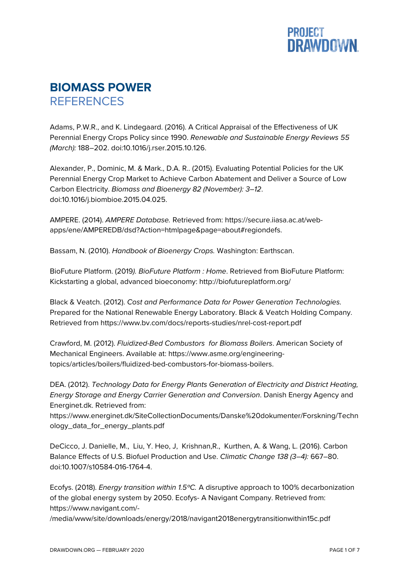

## **BIOMASS POWER REFERENCES**

Adams, P.W.R., and K. Lindegaard. (2016). A Critical Appraisal of the Effectiveness of UK Perennial Energy Crops Policy since 1990. *Renewable and Sustainable Energy Reviews 55 (March):* 188–202. doi:10.1016/j.rser.2015.10.126.

Alexander, P., Dominic, M. & Mark., D.A. R.. (2015). Evaluating Potential Policies for the UK Perennial Energy Crop Market to Achieve Carbon Abatement and Deliver a Source of Low Carbon Electricity. *Biomass and Bioenergy 82 (November): 3–12*. doi:10.1016/j.biombioe.2015.04.025.

AMPERE. (2014). *AMPERE Database.* Retrieved from: https://secure.iiasa.ac.at/webapps/ene/AMPEREDB/dsd?Action=htmlpage&page=about#regiondefs.

Bassam, N. (2010). *Handbook of Bioenergy Crops.* Washington: Earthscan.

BioFuture Platform. (2019*). BioFuture Platform : Home*. Retrieved from BioFuture Platform: Kickstarting a global, advanced bioeconomy: http://biofutureplatform.org/

Black & Veatch. (2012). *Cost and Performance Data for Power Generation Technologies.* Prepared for the National Renewable Energy Laboratory. Black & Veatch Holding Company. Retrieved from https://www.bv.com/docs/reports-studies/nrel-cost-report.pdf

Crawford, M. (2012). *Fluidized-Bed Combustors for Biomass Boilers*. American Society of Mechanical Engineers. Available at: https://www.asme.org/engineeringtopics/articles/boilers/fluidized-bed-combustors-for-biomass-boilers.

DEA. (2012). *Technology Data for Energy Plants Generation of Electricity and District Heating, Energy Storage and Energy Carrier Generation and Conversion*. Danish Energy Agency and Energinet.dk. Retrieved from:

https://www.energinet.dk/SiteCollectionDocuments/Danske%20dokumenter/Forskning/Techn ology\_data\_for\_energy\_plants.pdf

DeCicco, J. Danielle, M., Liu, Y. Heo, J, Krishnan,R., Kurthen, A. & Wang, L. (2016). Carbon Balance Effects of U.S. Biofuel Production and Use. *Climatic Change 138 (3–4):* 667–80. doi:10.1007/s10584-016-1764-4.

Ecofys. (2018). *Energy transition within 1.5ºC.* A disruptive approach to 100% decarbonization of the global energy system by 2050. Ecofys- A Navigant Company. Retrieved from: https://www.navigant.com/-

/media/www/site/downloads/energy/2018/navigant2018energytransitionwithin15c.pdf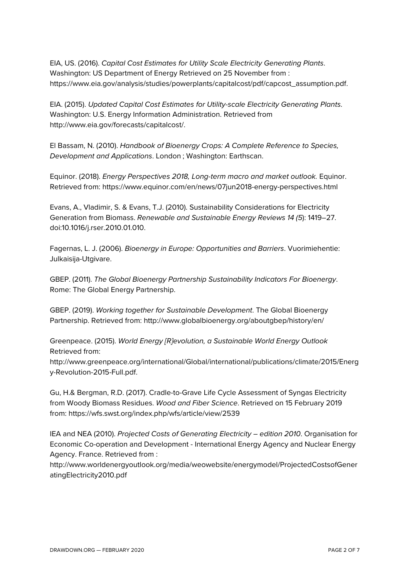EIA, US. (2016). *Capital Cost Estimates for Utility Scale Electricity Generating Plants*. Washington: US Department of Energy Retrieved on 25 November from : https://www.eia.gov/analysis/studies/powerplants/capitalcost/pdf/capcost\_assumption.pdf.

EIA. (2015). *Updated Capital Cost Estimates for Utility-scale Electricity Generating Plants*. Washington: U.S. Energy Information Administration. Retrieved from http://www.eia.gov/forecasts/capitalcost/.

El Bassam, N. (2010). *Handbook of Bioenergy Crops: A Complete Reference to Species, Development and Applications*. London ; Washington: Earthscan.

Equinor. (2018). *Energy Perspectives 2018, Long-term macro and market outlook.* Equinor. Retrieved from: https://www.equinor.com/en/news/07jun2018-energy-perspectives.html

Evans, A., Vladimir, S. & Evans, T.J. (2010). Sustainability Considerations for Electricity Generation from Biomass. *Renewable and Sustainable Energy Reviews 14 (5*): 1419–27. doi:10.1016/j.rser.2010.01.010.

Fagernas, L. J. (2006). *Bioenergy in Europe: Opportunities and Barriers*. Vuorimiehentie: Julkaisija-Utgivare.

GBEP. (2011). *The Global Bioenergy Partnership Sustainability Indicators For Bioenergy*. Rome: The Global Energy Partnership.

GBEP. (2019). *Working together for Sustainable Development*. The Global Bioenergy Partnership. Retrieved from: http://www.globalbioenergy.org/aboutgbep/history/en/

Greenpeace. (2015). *World Energy [R]evolution, a Sustainable World Energy Outlook* Retrieved from:

http://www.greenpeace.org/international/Global/international/publications/climate/2015/Energ y-Revolution-2015-Full.pdf.

Gu, H.& Bergman, R.D. (2017). Cradle-to-Grave Life Cycle Assessment of Syngas Electricity from Woody Biomass Residues. *Wood and Fiber Science*. Retrieved on 15 February 2019 from: https://wfs.swst.org/index.php/wfs/article/view/2539

IEA and NEA (2010). *Projected Costs of Generating Electricity – edition 2010*. Organisation for Economic Co-operation and Development - International Energy Agency and Nuclear Energy Agency. France. Retrieved from :

http://www.worldenergyoutlook.org/media/weowebsite/energymodel/ProjectedCostsofGener atingElectricity2010.pdf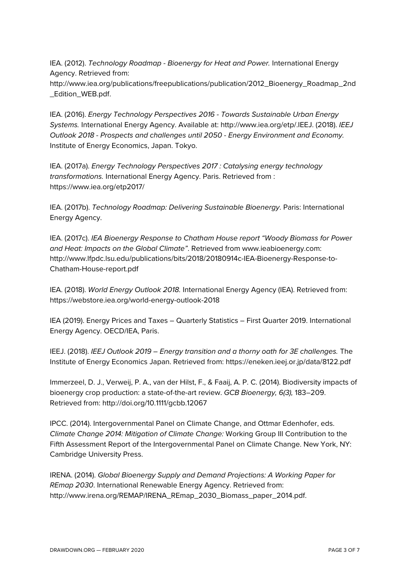IEA. (2012). *Technology Roadmap - Bioenergy for Heat and Power.* International Energy Agency. Retrieved from:

http://www.iea.org/publications/freepublications/publication/2012\_Bioenergy\_Roadmap\_2nd \_Edition\_WEB.pdf.

IEA. (2016). *Energy Technology Perspectives 2016 - Towards Sustainable Urban Energy Systems.* International Energy Agency. Available at: http://www.iea.org/etp/.IEEJ. (2018). *IEEJ Outlook 2018 - Prospects and challenges until 2050 - Energy Environment and Economy.* Institute of Energy Economics, Japan. Tokyo.

IEA. (2017a). *Energy Technology Perspectives 2017 : Catalysing energy technology transformations.* International Energy Agency. Paris. Retrieved from : https://www.iea.org/etp2017/

IEA. (2017b). *Technology Roadmap: Delivering Sustainable Bioenergy*. Paris: International Energy Agency.

IEA. (2017c). *IEA Bioenergy Response to Chatham House report "Woody Biomass for Power and Heat: Impacts on the Global Climate"*. Retrieved from www.ieabioenergy.com: http://www.lfpdc.lsu.edu/publications/bits/2018/20180914c-IEA-Bioenergy-Response-to-Chatham-House-report.pdf

IEA. (2018). *World Energy Outlook 2018.* International Energy Agency (IEA). Retrieved from: https://webstore.iea.org/world-energy-outlook-2018

IEA (2019). Energy Prices and Taxes – Quarterly Statistics – First Quarter 2019. International Energy Agency. OECD/IEA, Paris.

IEEJ. (2018). *IEEJ Outlook 2019 – Energy transition and a thorny oath for 3E challenges.* The Institute of Energy Economics Japan. Retrieved from: https://eneken.ieej.or.jp/data/8122.pdf

Immerzeel, D. J., Verweij, P. A., van der Hilst, F., & Faaij, A. P. C. (2014). Biodiversity impacts of bioenergy crop production: a state-of-the-art review. *GCB Bioenergy, 6(3),* 183–209. Retrieved from: http://doi.org/10.1111/gcbb.12067

IPCC. (2014). Intergovernmental Panel on Climate Change, and Ottmar Edenhofer, eds. *Climate Change 2014: Mitigation of Climate Change:* Working Group III Contribution to the Fifth Assessment Report of the Intergovernmental Panel on Climate Change. New York, NY: Cambridge University Press.

IRENA. (2014). *Global Bioenergy Supply and Demand Projections: A Working Paper for REmap 2030*. International Renewable Energy Agency. Retrieved from: http://www.irena.org/REMAP/IRENA\_REmap\_2030\_Biomass\_paper\_2014.pdf.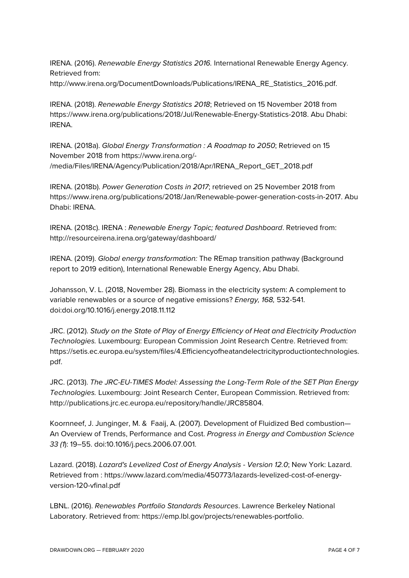IRENA. (2016). *Renewable Energy Statistics 2016.* International Renewable Energy Agency. Retrieved from:

http://www.irena.org/DocumentDownloads/Publications/IRENA\_RE\_Statistics\_2016.pdf.

IRENA. (2018). *Renewable Energy Statistics 2018*; Retrieved on 15 November 2018 from https://www.irena.org/publications/2018/Jul/Renewable-Energy-Statistics-2018. Abu Dhabi: IRENA.

IRENA. (2018a). *Global Energy Transformation : A Roadmap to 2050*; Retrieved on 15 November 2018 from https://www.irena.org/- /media/Files/IRENA/Agency/Publication/2018/Apr/IRENA\_Report\_GET\_2018.pdf

IRENA. (2018b). *Power Generation Costs in 2017*; retrieved on 25 November 2018 from https://www.irena.org/publications/2018/Jan/Renewable-power-generation-costs-in-2017. Abu Dhabi: IRENA.

IRENA. (2018c). IRENA : *Renewable Energy Topic; featured Dashboard*. Retrieved from: http://resourceirena.irena.org/gateway/dashboard/

IRENA. (2019). *Global energy transformation:* The REmap transition pathway (Background report to 2019 edition), International Renewable Energy Agency, Abu Dhabi.

Johansson, V. L. (2018, November 28). Biomass in the electricity system: A complement to variable renewables or a source of negative emissions? *Energy, 168,* 532-541. doi:doi.org/10.1016/j.energy.2018.11.112

JRC. (2012). *Study on the State of Play of Energy Efficiency of Heat and Electricity Production Technologies.* Luxembourg: European Commission Joint Research Centre. Retrieved from: https://setis.ec.europa.eu/system/files/4.Efficiencyofheatandelectricityproductiontechnologies. pdf.

JRC. (2013). *The JRC-EU-TIMES Model: Assessing the Long-Term Role of the SET Plan Energy Technologies.* Luxembourg: Joint Research Center, European Commission. Retrieved from: http://publications.jrc.ec.europa.eu/repository/handle/JRC85804.

Koornneef, J. Junginger, M. & Faaij, A. (2007). Development of Fluidized Bed combustion— An Overview of Trends, Performance and Cost. *Progress in Energy and Combustion Science 33 (1*): 19–55. doi:10.1016/j.pecs.2006.07.001.

Lazard. (2018). *Lazard's Levelized Cost of Energy Analysis - Version 12.0*; New York: Lazard. Retrieved from : https://www.lazard.com/media/450773/lazards-levelized-cost-of-energyversion-120-vfinal.pdf

LBNL. (2016). *Renewables Portfolio Standards Resources*. Lawrence Berkeley National Laboratory. Retrieved from: https://emp.lbl.gov/projects/renewables-portfolio.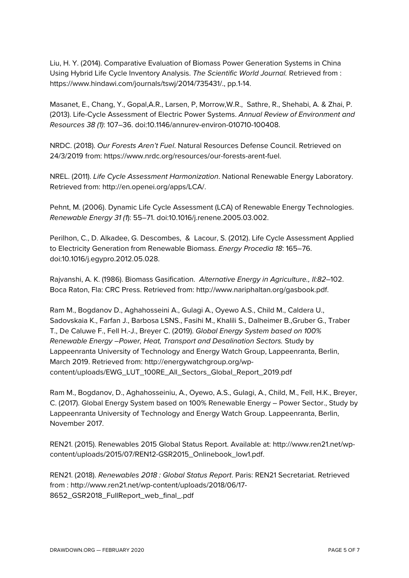Liu, H. Y. (2014). Comparative Evaluation of Biomass Power Generation Systems in China Using Hybrid Life Cycle Inventory Analysis. *The Scientific World Journal.* Retrieved from : https://www.hindawi.com/journals/tswj/2014/735431/., pp.1-14.

Masanet, E., Chang, Y., Gopal,A.R., Larsen, P, Morrow,W.R., Sathre, R., Shehabi, A. & Zhai, P. (2013). Life-Cycle Assessment of Electric Power Systems. *Annual Review of Environment and Resources 38 (1)*: 107–36. doi:10.1146/annurev-environ-010710-100408.

NRDC. (2018). *Our Forests Aren't Fuel*. Natural Resources Defense Council. Retrieved on 24/3/2019 from: https://www.nrdc.org/resources/our-forests-arent-fuel.

NREL. (2011). *Life Cycle Assessment Harmonization*. National Renewable Energy Laboratory. Retrieved from: http://en.openei.org/apps/LCA/.

Pehnt, M. (2006). Dynamic Life Cycle Assessment (LCA) of Renewable Energy Technologies. *Renewable Energy 31 (1*): 55–71. doi:10.1016/j.renene.2005.03.002.

Perilhon, C., D. Alkadee, G. Descombes, & Lacour, S. (2012). Life Cycle Assessment Applied to Electricity Generation from Renewable Biomass. *Energy Procedia 18*: 165–76. doi:10.1016/j.egypro.2012.05.028.

Rajvanshi, A. K. (1986). Biomass Gasification. *Alternative Energy in Agriculture., II:82*–102. Boca Raton, Fla: CRC Press. Retrieved from: http://www.nariphaltan.org/gasbook.pdf.

Ram M., Bogdanov D., Aghahosseini A., Gulagi A., Oyewo A.S., Child M., Caldera U., Sadovskaia K., Farfan J., Barbosa LSNS., Fasihi M., Khalili S., Dalheimer B.,Gruber G., Traber T., De Caluwe F., Fell H.-J., Breyer C. (2019). *Global Energy System based on 100% Renewable Energy –Power, Heat, Transport and Desalination Sectors.* Study by Lappeenranta University of Technology and Energy Watch Group, Lappeenranta, Berlin, March 2019. Retrieved from: http://energywatchgroup.org/wpcontent/uploads/EWG\_LUT\_100RE\_All\_Sectors\_Global\_Report\_2019.pdf

Ram M., Bogdanov, D., Aghahosseiniu, A., Oyewo, A.S., Gulagi, A., Child, M., Fell, H.K., Breyer, C. (2017). Global Energy System based on 100% Renewable Energy – Power Sector., Study by Lappeenranta University of Technology and Energy Watch Group. Lappeenranta, Berlin, November 2017.

REN21. (2015). Renewables 2015 Global Status Report. Available at: http://www.ren21.net/wpcontent/uploads/2015/07/REN12-GSR2015\_Onlinebook\_low1.pdf.

REN21. (2018). *Renewables 2018 : Global Status Report*. Paris: REN21 Secretariat. Retrieved from : http://www.ren21.net/wp-content/uploads/2018/06/17- 8652\_GSR2018\_FullReport\_web\_final\_.pdf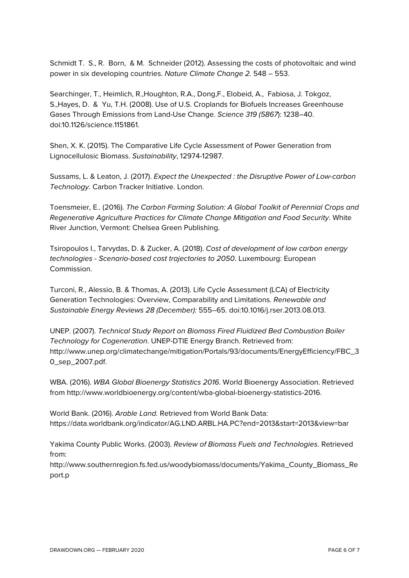Schmidt T. S., R. Born, & M. Schneider (2012). Assessing the costs of photovoltaic and wind power in six developing countries. *Nature Climate Change 2.* 548 – 553.

Searchinger, T., Heimlich, R.,Houghton, R.A., Dong,F., Elobeid, A., Fabiosa, J. Tokgoz, S.,Hayes, D. & Yu, T.H. (2008). Use of U.S. Croplands for Biofuels Increases Greenhouse Gases Through Emissions from Land-Use Change. *Science 319 (5867*): 1238–40. doi:10.1126/science.1151861.

Shen, X. K. (2015). The Comparative Life Cycle Assessment of Power Generation from Lignocellulosic Biomass. *Sustainability*, 12974-12987.

Sussams, L. & Leaton, J. (2017). *Expect the Unexpected : the Disruptive Power of Low-carbon Technology.* Carbon Tracker Initiative. London.

Toensmeier, E.. (2016). *The Carbon Farming Solution: A Global Toolkit of Perennial Crops and Regenerative Agriculture Practices for Climate Change Mitigation and Food Security*. White River Junction, Vermont: Chelsea Green Publishing.

Tsiropoulos I., Tarvydas, D. & Zucker, A. (2018). *Cost of development of low carbon energy technologies - Scenario-based cost trajectories to 2050*. Luxembourg: European Commission.

Turconi, R., Alessio, B. & Thomas, A. (2013). Life Cycle Assessment (LCA) of Electricity Generation Technologies: Overview, Comparability and Limitations. *Renewable and Sustainable Energy Reviews 28 (December):* 555–65. doi:10.1016/j.rser.2013.08.013.

UNEP. (2007). *Technical Study Report on Biomass Fired Fluidized Bed Combustion Boiler Technology for Cogeneration*. UNEP-DTIE Energy Branch. Retrieved from: http://www.unep.org/climatechange/mitigation/Portals/93/documents/EnergyEfficiency/FBC\_3 0\_sep\_2007.pdf.

WBA. (2016). *WBA Global Bioenergy Statistics 2016*. World Bioenergy Association. Retrieved from http://www.worldbioenergy.org/content/wba-global-bioenergy-statistics-2016.

World Bank. (2016). *Arable Land.* Retrieved from World Bank Data: https://data.worldbank.org/indicator/AG.LND.ARBL.HA.PC?end=2013&start=2013&view=bar

Yakima County Public Works. (2003). *Review of Biomass Fuels and Technologies*. Retrieved from:

http://www.southernregion.fs.fed.us/woodybiomass/documents/Yakima\_County\_Biomass\_Re port.p